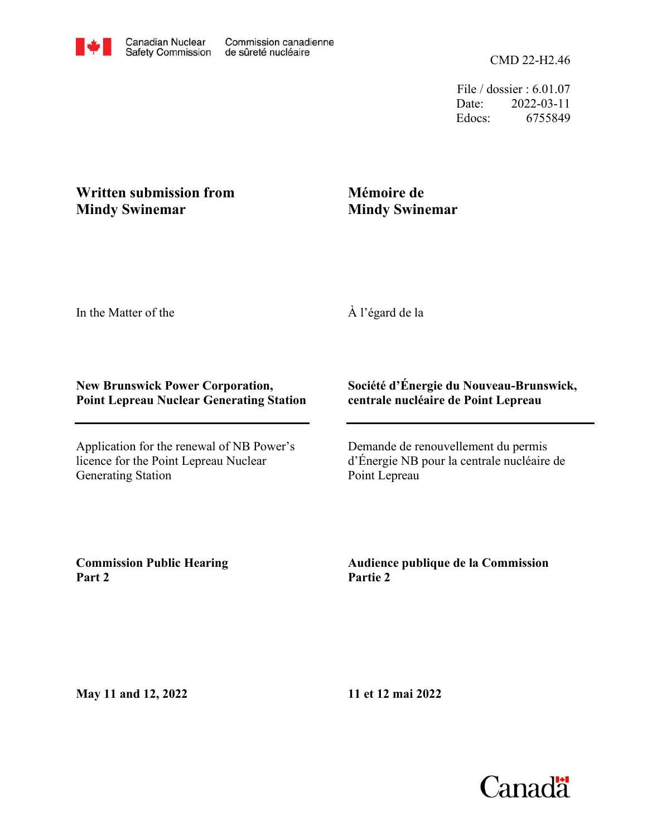CMD 22-H2.46

File / dossier : 6.01.07 Date: 2022-03-11 Edocs: 6755849

## **Written submission from Mindy Swinemar**

## **Mémoire de Mindy Swinemar**

In the Matter of the

À l'égard de la

## **New Brunswick Power Corporation, Point Lepreau Nuclear Generating Station**

Application for the renewal of NB Power's licence for the Point Lepreau Nuclear Generating Station

## **Société d'Énergie du Nouveau-Brunswick, centrale nucléaire de Point Lepreau**

Demande de renouvellement du permis d'Énergie NB pour la centrale nucléaire de Point Lepreau

**Commission Public Hearing Part 2**

**Audience publique de la Commission Partie 2**

**May 11 and 12, 2022**

**11 et 12 mai 2022**